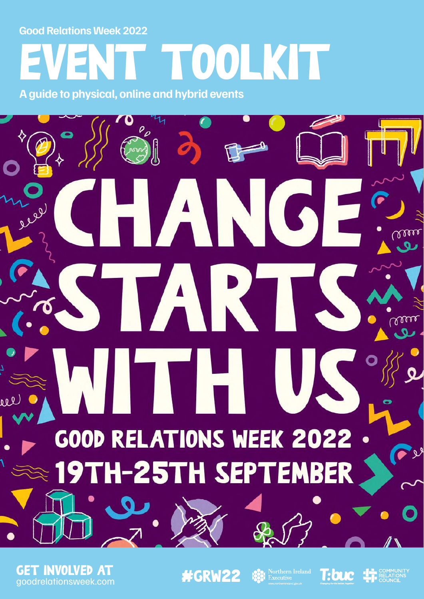**Good Relations Week 2022**

# EVENT TOOLKIT **A guide to physical, online and hybrid events**

O ANG TART **NITH U** GOOD RELATIONS WEEK 2022 **H-25TH SEPTEMBER** 

**GET INVOLVED AT**<br>goodrelationsweek.com

#GRW22 Streethern Ireland

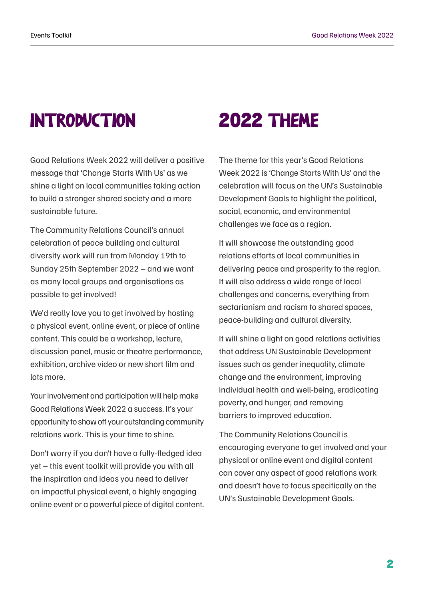### INTRODUCTION 2022 THEME

Good Relations Week 2022 will deliver a positive message that 'Change Starts With Us' as we shine a light on local communities taking action to build a stronger shared society and a more sustainable future.

The Community Relations Council's annual celebration of peace building and cultural diversity work will run from Monday 19th to Sunday 25th September 2022 – and we want as many local groups and organisations as possible to get involved!

We'd really love you to get involved by hosting a physical event, online event, or piece of online content. This could be a workshop, lecture, discussion panel, music or theatre performance, exhibition, archive video or new short film and lots more.

Your involvement and participation will help make Good Relations Week 2022 a success. It's your opportunity to show off your outstanding community relations work. This is your time to shine.

Don't worry if you don't have a fully-fledged idea yet – this event toolkit will provide you with all the inspiration and ideas you need to deliver an impactful physical event, a highly engaging online event or a powerful piece of digital content.

The theme for this year's Good Relations Week 2022 is 'Change Starts With Us' and the celebration will focus on the UN's Sustainable Development Goals to highlight the political, social, economic, and environmental challenges we face as a region.

It will showcase the outstanding good relations efforts of local communities in delivering peace and prosperity to the region. It will also address a wide range of local challenges and concerns, everything from sectarianism and racism to shared spaces, peace-building and cultural diversity.

It will shine a light on good relations activities that address UN Sustainable Development issues such as gender inequality, climate change and the environment, improving individual health and well-being, eradicating poverty, and hunger, and removing barriers to improved education.

The Community Relations Council is encouraging everyone to get involved and your physical or online event and digital content can cover any aspect of good relations work and doesn't have to focus specifically on the UN's [Sustainable Development Goals.](https://sdgs.un.org/#goal_section)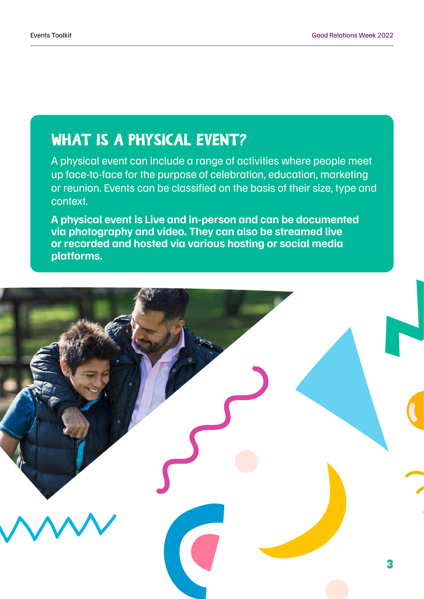### WHAT IS A PHYSICAL EVENT?

A physical event can include a range of activities where people meet up face-to-face for the purpose of celebration, education, marketing or reunion. Events can be classified on the basis of their size, type and context.

**A physical event is Live and in-person and can be documented via photography and video. They can also be streamed live or recorded and hosted via various hosting or social media platforms.**

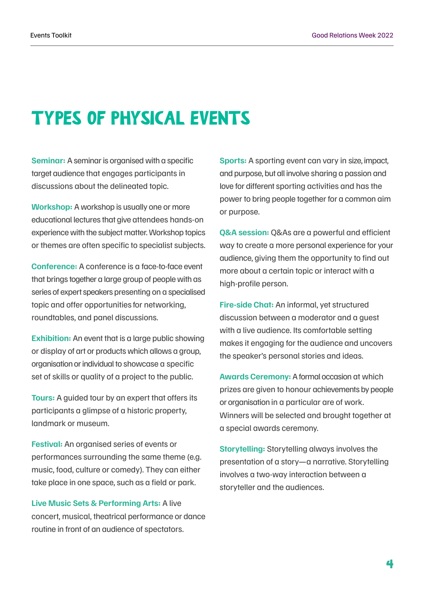### TYPES OF PHYSICAL EVENTS

**Seminar:** A seminar is organised with a specific target audience that engages participants in discussions about the delineated topic.

**Workshop:** A workshop is usually one or more educational lectures that give attendees hands-on experience with the subject matter. Workshop topics or themes are often specific to specialist subjects.

**Conference:** A conference is a face-to-face event that brings together a large group of people with as series of expert speakers presenting on a specialised topic and offer opportunities for networking, roundtables, and panel discussions.

**Exhibition:** An event that is a large public showing or display of art or products which allows a group, organisation or individual to showcase a specific set of skills or quality of a project to the public.

**Tours:** A guided tour by an expert that offers its participants a glimpse of a historic property, landmark or museum.

**Festival:** An organised series of events or performances surrounding the same theme (e.g. music, food, culture or comedy). They can either take place in one space, such as a field or park.

**Live Music Sets & Performing Arts:** A live concert, musical, theatrical performance or dance routine in front of an audience of spectators.

**Sports:** A sporting event can vary in size, impact, and purpose, but all involve sharing a passion and love for different sporting activities and has the power to bring people together for a common aim or purpose.

**Q&A session:** Q&As are a powerful and efficient way to create a more personal experience for your audience, giving them the opportunity to find out more about a certain topic or interact with a high-profile person.

**Fire-side Chat:** An informal, yet structured discussion between a moderator and a guest with a live audience. Its comfortable setting makes it engaging for the audience and uncovers the speaker's personal stories and ideas.

**Awards Ceremony:** A formal occasion at which prizes are given to honour achievements by people or organisation in a particular are of work. Winners will be selected and brought together at a special awards ceremony.

**Storytelling:** Storytelling always involves the presentation of a story—a narrative. Storytelling involves a two-way interaction between a storyteller and the audiences.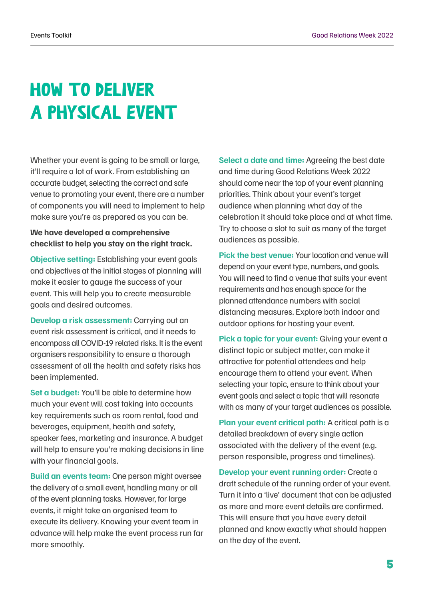## HOW TO DELIVER A PHYSICAL EVENT

Whether your event is going to be small or large, it'll require a lot of work. From establishing an accurate budget, selecting the correct and safe venue to promoting your event, there are a number of components you will need to implement to help make sure you're as prepared as you can be.

### **We have developed a comprehensive checklist to help you stay on the right track.**

**Objective setting:** Establishing your event goals and objectives at the initial stages of planning will make it easier to gauge the success of your event. This will help you to create measurable goals and desired outcomes.

**Develop a risk assessment:** Carrying out an event risk assessment is critical, and it needs to encompass all COVID-19 related risks. It is the event organisers responsibility to ensure a thorough assessment of all the health and safety risks has been implemented.

**Set a budget:** You'll be able to determine how much your event will cost taking into accounts key requirements such as room rental, food and beverages, equipment, health and safety, speaker fees, marketing and insurance. A budget will help to ensure you're making decisions in line with your financial goals.

**Build an events team:** One person might oversee the delivery of a small event, handling many or all of the event planning tasks. However, for large events, it might take an organised team to execute its delivery. Knowing your event team in advance will help make the event process run far more smoothly.

**Select a date and time:** Agreeing the best date and time during Good Relations Week 2022 should come near the top of your event planning priorities. Think about your event's target audience when planning what day of the celebration it should take place and at what time. Try to choose a slot to suit as many of the target audiences as possible.

**Pick the best venue: Your location and venue will** depend on your event type, numbers, and goals. You will need to find a venue that suits your event requirements and has enough space for the planned attendance numbers with social distancing measures. Explore both indoor and outdoor options for hosting your event.

Pick a topic for your event: Giving your event a distinct topic or subject matter, can make it attractive for potential attendees and help encourage them to attend your event. When selecting your topic, ensure to think about your event goals and select a topic that will resonate with as many of your target audiences as possible.

**Plan your event critical path:** A critical path is a detailed breakdown of every single action associated with the delivery of the event (e.g. person responsible, progress and timelines).

**Develop your event running order:** Create a draft schedule of the running order of your event. Turn it into a 'live' document that can be adjusted as more and more event details are confirmed. This will ensure that you have every detail planned and know exactly what should happen on the day of the event.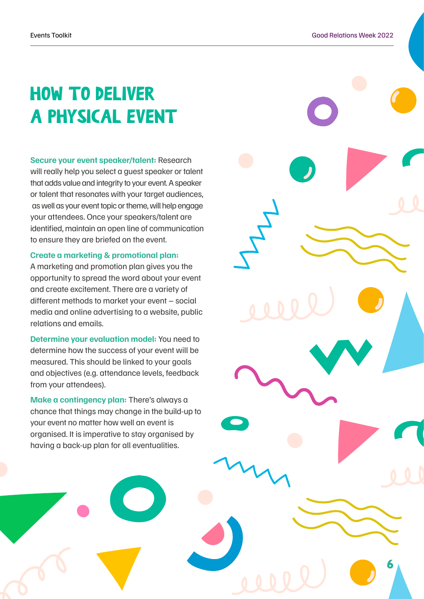### HOW TO DELIVER A PHYSICAL EVENT

**Secure your event speaker/talent:** Research will really help you select a guest speaker or talent that adds value and integrity to your event. A speaker or talent that resonates with your target audiences, as well as your event topic or theme, will help engage your attendees. Once your speakers/talent are identified, maintain an open line of communication to ensure they are briefed on the event.

#### **Create a marketing & promotional plan:**

A marketing and promotion plan gives you the opportunity to spread the word about your event and create excitement. There are a variety of different methods to market your event – social media and online advertising to a website, public relations and emails.

**Determine your evaluation model:** You need to determine how the success of your event will be measured. This should be linked to your goals and objectives (e.g. attendance levels, feedback from your attendees).

**Make a contingency plan:** There's always a chance that things may change in the build-up to your event no matter how well an event is organised. It is imperative to stay organised by having a back-up plan for all eventualities.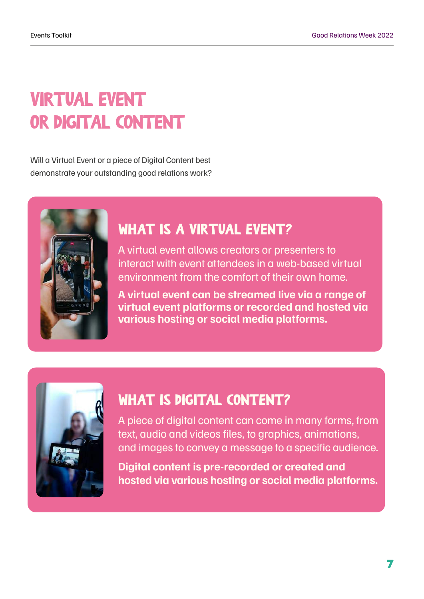### VIRTUAL EVENT OR DIGITAL CONTENT

Will a Virtual Event or a piece of Digital Content best demonstrate your outstanding good relations work?



### WHAT IS A VIRTUAL EVENT?

A virtual event allows creators or presenters to interact with event attendees in a web-based virtual environment from the comfort of their own home.

**A virtual event can be streamed live via a range of virtual event platforms or recorded and hosted via various hosting or social media platforms.**



### WHAT IS DIGITAL CONTENT?

A piece of digital content can come in many forms, from text, audio and videos files, to graphics, animations, and images to convey a message to a specific audience.

**Digital content is pre-recorded or created and hosted via various hosting or social media platforms.**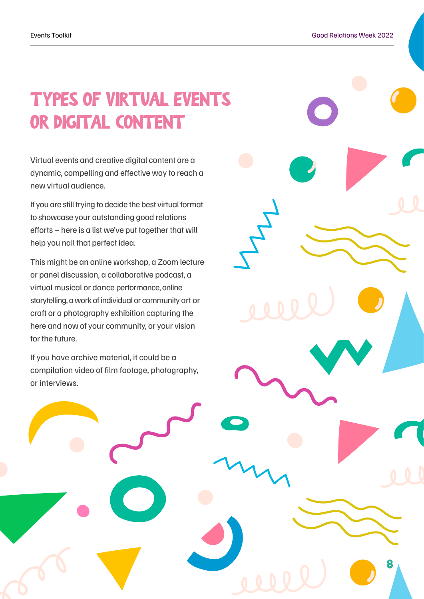### TYPES OF VIRTUAL EVENTS OR DIGITAL CONTENT

Virtual events and creative digital content are a dynamic, compelling and effective way to reach a new virtual audience.

If you are still trying to decide the best virtual format to showcase your outstanding good relations efforts – here is a list we've put together that will help you nail that perfect idea.

This might be an online workshop, a Zoom lecture or panel discussion, a collaborative podcast, a virtual musical or dance performance, online storytelling, a work of individual or community art or craft or a photography exhibition capturing the here and now of your community, or your vision for the future.

If you have archive material, it could be a compilation video of film footage, photography, or interviews.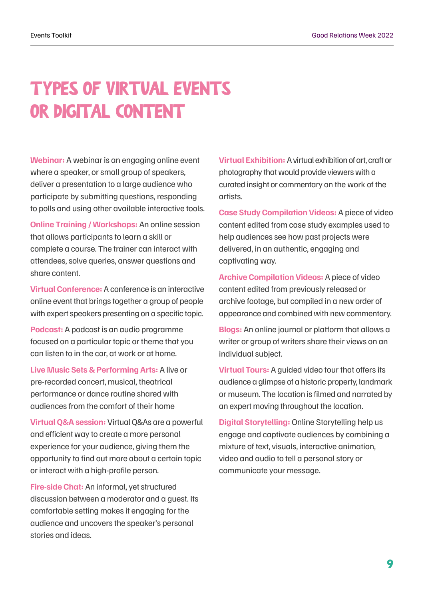### TYPES OF VIRTUAL EVENTS OR DIGITAL CONTENT

**Webinar:** A webinar is an engaging online event where a speaker, or small group of speakers, deliver a presentation to a large audience who participate by submitting questions, responding to polls and using other available interactive tools.

**Online Training / Workshops:** An online session that allows participants to learn a skill or complete a course. The trainer can interact with attendees, solve queries, answer questions and share content.

**Virtual Conference:** A conference is an interactive online event that brings together a group of people with expert speakers presenting on a specific topic.

**Podcast:** A podcast is an audio programme focused on a particular topic or theme that you can listen to in the car, at work or at home.

**Live Music Sets & Performing Arts:** A live or pre-recorded concert, musical, theatrical performance or dance routine shared with audiences from the comfort of their home

**Virtual Q&A session:** Virtual Q&As are a powerful and efficient way to create a more personal experience for your audience, giving them the opportunity to find out more about a certain topic or interact with a high-profile person.

**Fire-side Chat:** An informal, yet structured discussion between a moderator and a guest. Its comfortable setting makes it engaging for the audience and uncovers the speaker's personal stories and ideas.

**Virtual Exhibition:** A virtual exhibition of art, craft or photography that would provide viewers with a curated insight or commentary on the work of the artists.

**Case Study Compilation Videos:** A piece of video content edited from case study examples used to help audiences see how past projects were delivered, in an authentic, engaging and captivating way.

**Archive Compilation Videos:** A piece of video content edited from previously released or archive footage, but compiled in a new order of appearance and combined with new commentary.

**Blogs:** An online journal or platform that allows a writer or group of writers share their views on an individual subject.

**Virtual Tours:** A guided video tour that offers its audience a glimpse of a historic property, landmark or museum. The location is filmed and narrated by an expert moving throughout the location.

**Digital Storytelling:** Online Storytelling help us engage and captivate audiences by combining a mixture of text, visuals, interactive animation, video and audio to tell a personal story or communicate your message.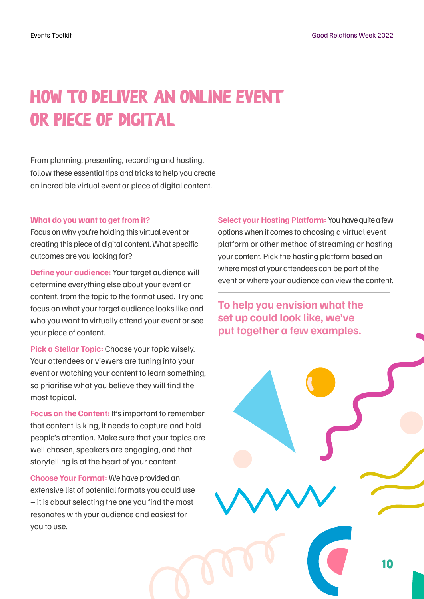### HOW TO DELIVER AN ONLINE EVENT OR PIECE OF DIGITAL

From planning, presenting, recording and hosting, follow these essential tips and tricks to help you create an incredible virtual event or piece of digital content.

#### **What do you want to get from it?**

Focus on why you're holding this virtual event or creating this piece of digital content. What specific outcomes are you looking for?

**Define your audience:** Your target audience will determine everything else about your event or content, from the topic to the format used. Try and focus on what your target audience looks like and who you want to virtually attend your event or see your piece of content.

**Pick a Stellar Topic:** Choose your topic wisely. Your attendees or viewers are tuning into your event or watching your content to learn something, so prioritise what you believe they will find the most topical.

**Focus on the Content: It's important to remember** that content is king, it needs to capture and hold people's attention. Make sure that your topics are well chosen, speakers are engaging, and that storytelling is at the heart of your content.

**Choose Your Format:** We have provided an extensive list of potential formats you could use – it is about selecting the one you find the most resonates with your audience and easiest for you to use.

**Select your Hosting Platform:** You have quite a few options when it comes to choosing a virtual event platform or other method of streaming or hosting your content. Pick the hosting platform based on where most of your attendees can be part of the event or where your audience can view the content.

**To help you envision what the set up could look like, we've put together a few examples.**

10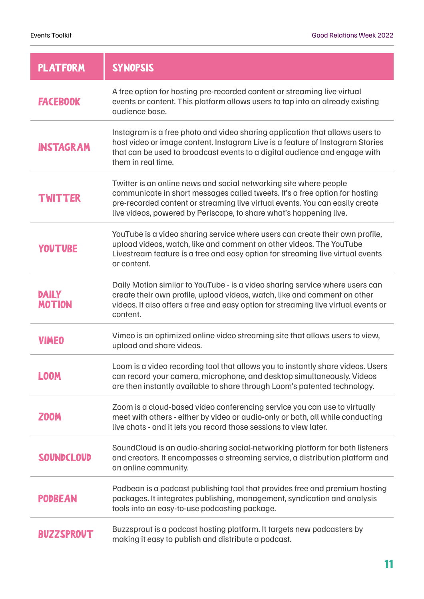| <b>PLATFORM</b>               | <b>SYNOPSIS</b>                                                                                                                                                                                                                                                                                        |
|-------------------------------|--------------------------------------------------------------------------------------------------------------------------------------------------------------------------------------------------------------------------------------------------------------------------------------------------------|
| <b>FACEBOOK</b>               | A free option for hosting pre-recorded content or streaming live virtual<br>events or content. This platform allows users to tap into an already existing<br>audience base.                                                                                                                            |
| <b>INSTAGRAM</b>              | Instagram is a free photo and video sharing application that allows users to<br>host video or image content. Instagram Live is a feature of Instagram Stories<br>that can be used to broadcast events to a digital audience and engage with<br>them in real time.                                      |
| <b>TWITTER</b>                | Twitter is an online news and social networking site where people<br>communicate in short messages called tweets. It's a free option for hosting<br>pre-recorded content or streaming live virtual events. You can easily create<br>live videos, powered by Periscope, to share what's happening live. |
| <b>YOUTUBE</b>                | YouTube is a video sharing service where users can create their own profile,<br>upload videos, watch, like and comment on other videos. The YouTube<br>Livestream feature is a free and easy option for streaming live virtual events<br>or content.                                                   |
| <b>DAILY</b><br><b>MOTION</b> | Daily Motion similar to YouTube - is a video sharing service where users can<br>create their own profile, upload videos, watch, like and comment on other<br>videos. It also offers a free and easy option for streaming live virtual events or<br>content.                                            |
| <b>VIMEO</b>                  | Vimeo is an optimized online video streaming site that allows users to view,<br>upload and share videos.                                                                                                                                                                                               |
| LOOM                          | Loom is a video recording tool that allows you to instantly share videos. Users<br>can record your camera, microphone, and desktop simultaneously. Videos<br>are then instantly available to share through Loom's patented technology.                                                                 |
| <b>Z00M</b>                   | Zoom is a cloud-based video conferencing service you can use to virtually<br>meet with others - either by video or audio-only or both, all while conducting<br>live chats - and it lets you record those sessions to view later.                                                                       |
| <b>SOUNDCLOUD</b>             | SoundCloud is an audio-sharing social-networking platform for both listeners<br>and creators. It encompasses a streaming service, a distribution platform and<br>an online community.                                                                                                                  |
| <b>PODBEAN</b>                | Podbean is a podcast publishing tool that provides free and premium hosting<br>packages. It integrates publishing, management, syndication and analysis<br>tools into an easy-to-use podcasting package.                                                                                               |
| <b>BUZZSPROUT</b>             | Buzzsprout is a podcast hosting platform. It targets new podcasters by<br>making it easy to publish and distribute a podcast.                                                                                                                                                                          |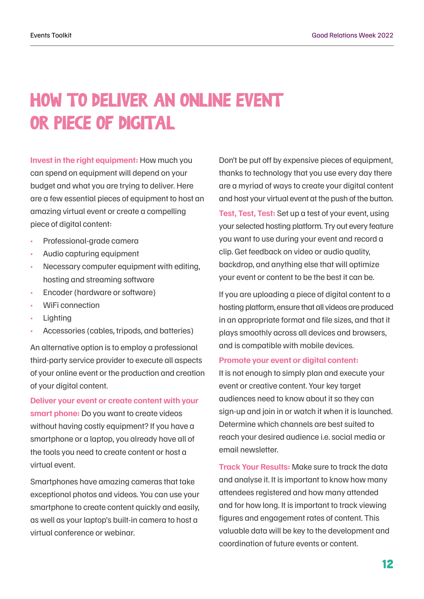### HOW TO DELIVER AN ONLINE EVENT OR PIECE OF DIGITAL

**Invest in the right equipment:** How much you can spend on equipment will depend on your budget and what you are trying to deliver. Here are a few essential pieces of equipment to host an amazing virtual event or create a compelling piece of digital content:

- Professional-grade camera
- Audio capturing equipment
- Necessary computer equipment with editing, hosting and streaming software
- Encoder (hardware or software)
- WiFi connection
- **Lighting**
- Accessories (cables, tripods, and batteries)

An alternative option is to employ a professional third-party service provider to execute all aspects of your online event or the production and creation of your digital content.

**Deliver your event or create content with your smart phone:** Do you want to create videos without having costly equipment? If you have a smartphone or a laptop, you already have all of the tools you need to create content or host a virtual event.

Smartphones have amazing cameras that take exceptional photos and videos. You can use your smartphone to create content quickly and easily, as well as your laptop's built-in camera to host a virtual conference or webinar.

Don't be put off by expensive pieces of equipment, thanks to technology that you use every day there are a myriad of ways to create your digital content and host your virtual event at the push of the button. **Test, Test, Test:** Set up a test of your event, using your selected hosting platform. Try out every feature you want to use during your event and record a clip. Get feedback on video or audio quality, backdrop, and anything else that will optimize your event or content to be the best it can be.

If you are uploading a piece of digital content to a hosting platform, ensure that all videos are produced in an appropriate format and file sizes, and that it plays smoothly across all devices and browsers, and is compatible with mobile devices.

#### **Promote your event or digital content:**

It is not enough to simply plan and execute your event or creative content. Your key target audiences need to know about it so they can sign-up and join in or watch it when it is launched. Determine which channels are best suited to reach your desired audience i.e. social media or email newsletter.

**Track Your Results:** Make sure to track the data and analyse it. It is important to know how many attendees registered and how many attended and for how long. It is important to track viewing figures and engagement rates of content. This valuable data will be key to the development and coordination of future events or content.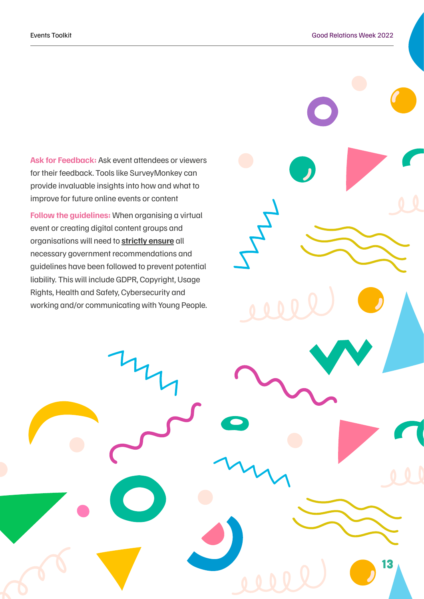**Ask for Feedback:** Ask event attendees or viewers for their feedback. Tools like SurveyMonkey can provide invaluable insights into how and what to improve for future online events or content

**Follow the guidelines:** When organising a virtual event or creating digital content groups and organisations will need to **strictly ensure** all necessary government recommendations and guidelines have been followed to prevent potential liability. This will include GDPR, Copyright, Usage Rights, Health and Safety, Cybersecurity and working and/or communicating with Young People.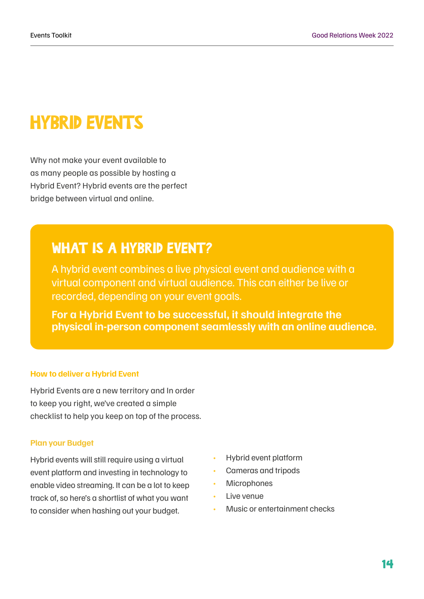### HYBRID EVENTS

Why not make your event available to as many people as possible by hosting a Hybrid Event? Hybrid events are the perfect bridge between virtual and online.

### WHAT IS A HYBRID EVENT?

A hybrid event combines a live physical event and audience with a virtual component and virtual audience. This can either be live or recorded, depending on your event goals.

**For a Hybrid Event to be successful, it should integrate the physical in-person component seamlessly with an online audience.**

#### **How to deliver a Hybrid Event**

Hybrid Events are a new territory and In order to keep you right, we've created a simple checklist to help you keep on top of the process.

#### **Plan your Budget**

Hybrid events will still require using a virtual event platform and investing in technology to enable video streaming. It can be a lot to keep track of, so here's a shortlist of what you want to consider when hashing out your budget.

- Hybrid event platform
- Cameras and tripods
- Microphones
- Live venue
- Music or entertainment checks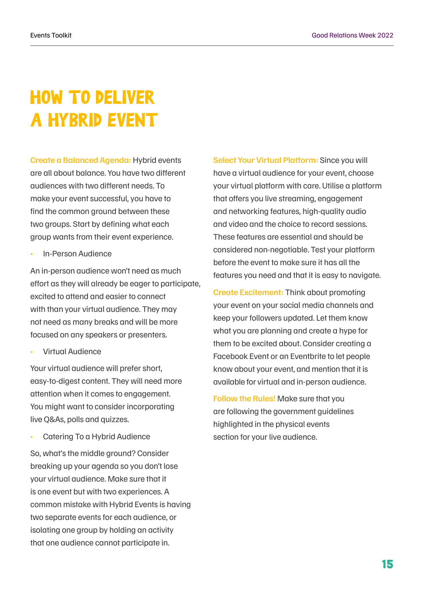### HOW TO DELIVER A HYBRID EVENT

**Create a Balanced Agenda:** Hybrid events are all about balance. You have two different audiences with two different needs. To make your event successful, you have to find the common ground between these two groups. Start by defining what each group wants from their event experience.

• In-Person Audience

An in-person audience won't need as much effort as they will already be eager to participate, excited to attend and easier to connect with than your virtual audience. They may not need as many breaks and will be more focused on any speakers or presenters.

• Virtual Audience

Your virtual audience will prefer short, easy-to-digest content. They will need more attention when it comes to engagement. You might want to consider incorporating live Q&As, polls and quizzes.

Catering To a Hybrid Audience

So, what's the middle ground? Consider breaking up your agenda so you don't lose your virtual audience. Make sure that it is one event but with two experiences. A common mistake with Hybrid Events is having two separate events for each audience, or isolating one group by holding an activity that one audience cannot participate in.

**Select Your Virtual Platform:** Since you will have a virtual audience for your event, choose your virtual platform with care. Utilise a platform that offers you live streaming, engagement and networking features, high-quality audio and video and the choice to record sessions. These features are essential and should be considered non-negotiable. Test your platform before the event to make sure it has all the features you need and that it is easy to navigate.

**Create Excitement:** Think about promoting your event on your social media channels and keep your followers updated. Let them know what you are planning and create a hype for them to be excited about. Consider creating a Facebook Event or an Eventbrite to let people know about your event, and mention that it is available for virtual and in-person audience.

**Follow the Rules!** Make sure that you are following the government guidelines highlighted in the physical events section for your live audience.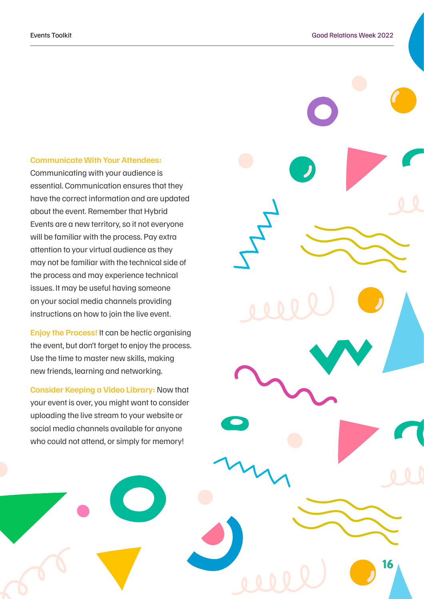#### **Communicate With Your Attendees:**

Communicating with your audience is essential. Communication ensures that they have the correct information and are updated about the event. Remember that Hybrid Events are a new territory, so it not everyone will be familiar with the process. Pay extra attention to your virtual audience as they may not be familiar with the technical side of the process and may experience technical issues. It may be useful having someone on your social media channels providing instructions on how to join the live event.

**Enjoy the Process!** It can be hectic organising the event, but don't forget to enjoy the process. Use the time to master new skills, making new friends, learning and networking.

**Consider Keeping a Video Library:** Now that your event is over, you might want to consider uploading the live stream to your website or social media channels available for anyone who could not attend, or simply for memory!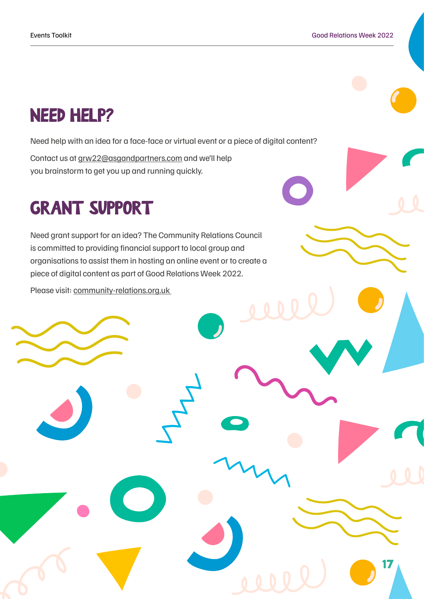### NEED HELP?

Need help with an idea for a face-face or virtual event or a piece of digital content?

Contact us at [grw22@asgandpartners.com](mailto:grw21%40asgandpartners.com?subject=GRW%20Help) and we'll help you brainstorm to get you up and running quickly.

### GRANT SUPPORT

Need grant support for an idea? The Community Relations Council is committed to providing financial support to local group and organisations to assist them in hosting an online event or to create a piece of digital content as part of Good Relations Week 2022.

Please visit: [community-relations.org.uk](https://www.community-relations.org.uk/)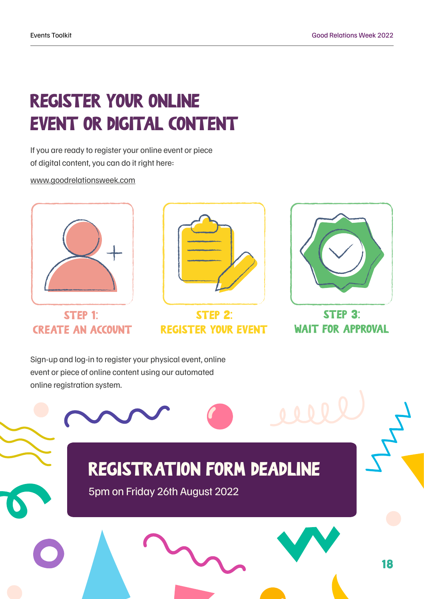## REGISTER YOUR ONLINE EVENT OR DIGITAL CONTENT

If you are ready to register your online event or piece of digital content, you can do it right here:

www.goodrelationsweek.com



STEP 1: **CREATE AN ACCOUNT** 



**STEP 2: REGISTER YOUR EVENT** 



STEP 3: **WAIT FOR APPROVAL** 

Sign-up and log-in to register your physical event, online event or piece of online content using our automated online registration system.

### REGISTRATION FORM DEADLINE

5pm on Friday 26th August 2022